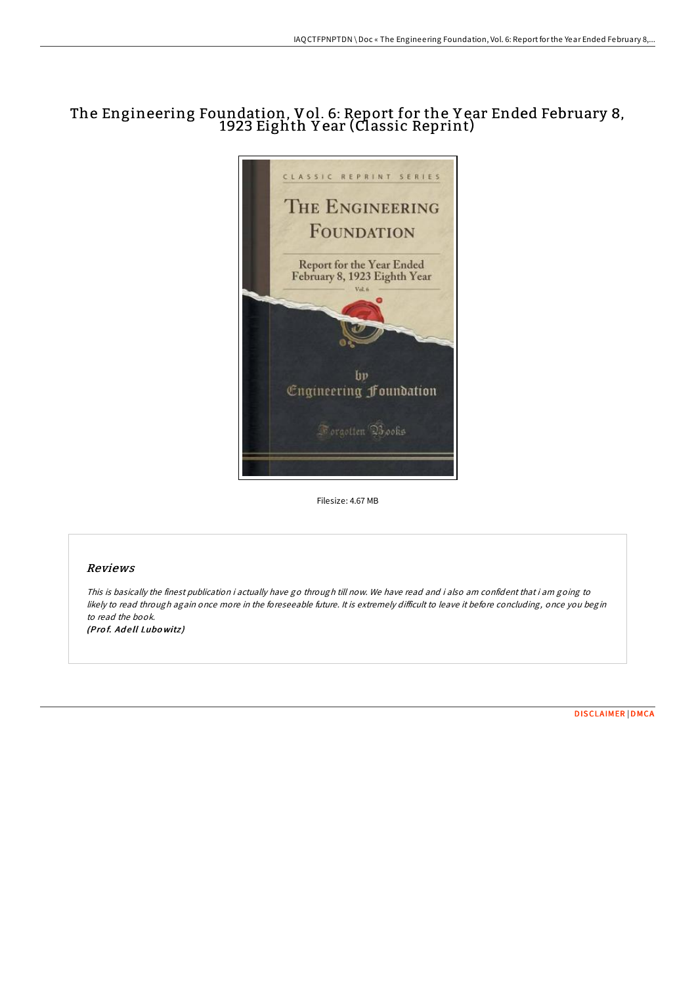## The Engineering Foundation, Vol. 6: Report for the Y ear Ended February 8, 1923 Eighth Y ear (Classic Reprint)



Filesize: 4.67 MB

## Reviews

This is basically the finest publication i actually have go through till now. We have read and i also am confident that i am going to likely to read through again once more in the foreseeable future. It is extremely difficult to leave it before concluding, once you begin to read the book. (Prof. Adell Lubowitz)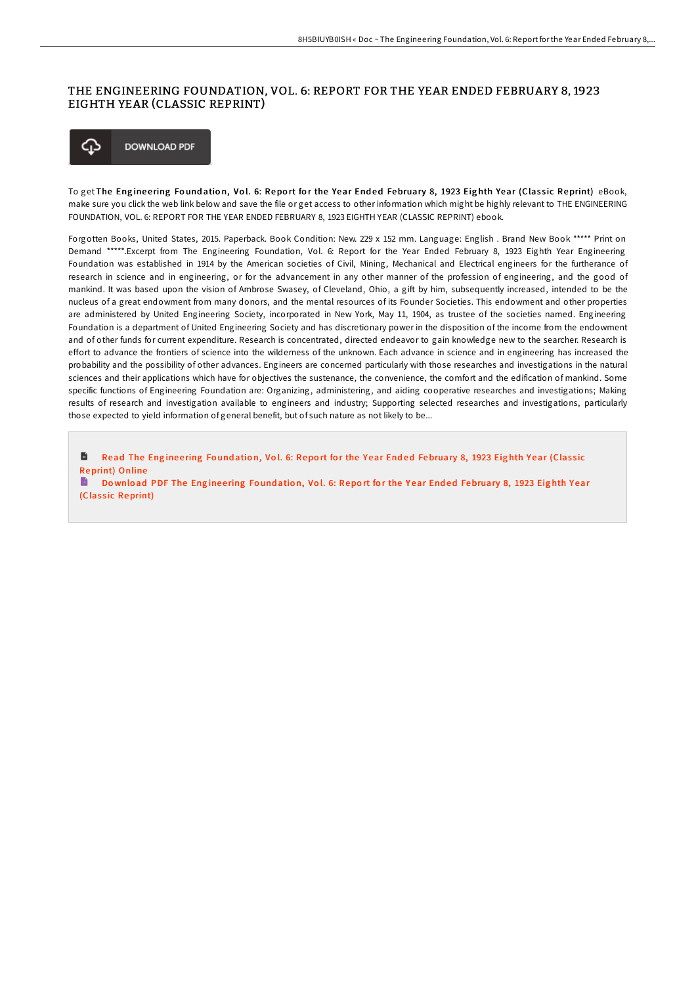## THE ENGINEERING FOUNDATION, VOL. 6: REPORT FOR THE YEAR ENDED FEBRUARY 8, 1923 EIGHTH YEAR (CLASSIC REPRINT)



To get The Engineering Foundation, Vol. 6: Report for the Year Ended February 8, 1923 Eighth Year (Classic Reprint) eBook, make sure you click the web link below and save the file or get access to other information which might be highly relevant to THE ENGINEERING FOUNDATION, VOL. 6: REPORT FOR THE YEAR ENDED FEBRUARY 8, 1923 EIGHTH YEAR (CLASSIC REPRINT) ebook.

Forgotten Books, United States, 2015. Paperback. Book Condition: New. 229 x 152 mm. Language: English . Brand New Book \*\*\*\*\* Print on Demand \*\*\*\*\*.Excerpt from The Engineering Foundation, Vol. 6: Report for the Year Ended February 8, 1923 Eighth Year Engineering Foundation was established in 1914 by the American societies of Civil, Mining, Mechanical and Electrical engineers for the furtherance of research in science and in engineering, or for the advancement in any other manner of the profession of engineering, and the good of mankind. It was based upon the vision of Ambrose Swasey, of Cleveland, Ohio, a gift by him, subsequently increased, intended to be the nucleus of a great endowment from many donors, and the mental resources of its Founder Societies. This endowment and other properties are administered by United Engineering Society, incorporated in New York, May 11, 1904, as trustee of the societies named. Engineering Foundation is a department of United Engineering Society and has discretionary power in the disposition of the income from the endowment and of other funds for current expenditure. Research is concentrated, directed endeavor to gain knowledge new to the searcher. Research is effort to advance the frontiers of science into the wilderness of the unknown. Each advance in science and in engineering has increased the probability and the possibility of other advances. Engineers are concerned particularly with those researches and investigations in the natural sciences and their applications which have for objectives the sustenance, the convenience, the comfort and the edification of mankind. Some specific functions of Engineering Foundation are: Organizing, administering, and aiding cooperative researches and investigations; Making results of research and investigation available to engineers and industry; Supporting selected researches and investigations, particularly those expected to yield information of general benefit, but of such nature as not likely to be...

B Read The Engineering Foundation, Vol. 6: Report for the Year Ended [February](http://almighty24.tech/the-engineering-foundation-vol-6-report-for-the-.html) 8, 1923 Eighth Year (Classic Reprint) Online

B Download PDF The Engineering Foundation, Vol. 6: Report for the Year Ended [February](http://almighty24.tech/the-engineering-foundation-vol-6-report-for-the-.html) 8, 1923 Eighth Year (Classic Reprint)